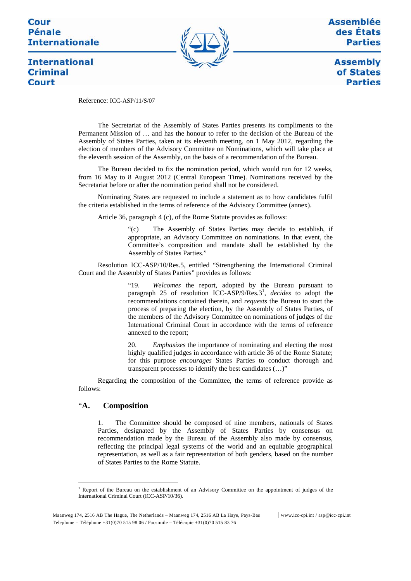## Cour **Pénale Internationale**



**Assemblée** des États **Parties** 

> **Assembly** of States **Parties**

# **International Criminal** Court

Reference: ICC-ASP/11/S/07

The Secretariat of the Assembly of States Parties presents its compliments to the Permanent Mission of … and has the honour to refer to the decision of the Bureau of the Assembly of States Parties, taken at its eleventh meeting, on 1 May 2012, regarding the election of members of the Advisory Committee on Nominations, which will take place at the eleventh session of the Assembly, on the basis of a recommendation of the Bureau.

The Bureau decided to fix the nomination period, which would run for 12 weeks, from 16 May to 8 August 2012 (Central European Time). Nominations received by the Secretariat before or after the nomination period shall not be considered.

Nominating States are requested to include a statement as to how candidates fulfil the criteria established in the terms of reference of the Advisory Committee (annex).

Article 36, paragraph 4 (c), of the Rome Statute provides as follows:

"(c) The Assembly of States Parties may decide to establish, if appropriate, an Advisory Committee on nominations. In that event, the Committee's composition and mandate shall be established by the Assembly of States Parties."

Resolution ICC-ASP/10/Res.5, entitled "Strengthening the International Criminal Court and the Assembly of States Parties" provides as follows:

> "19. *Welcomes* the report, adopted by the Bureau pursuant to paragraph 25 of resolution ICC-ASP/9/Res.3<sup>1</sup>, *decides* to adopt the recommendations contained therein, and *requests* the Bureau to start the process of preparing the election, by the Assembly of States Parties, of the members of the Advisory Committee on nominations of judges of the International Criminal Court in accordance with the terms of reference annexed to the report;

> 20. *Emphasizes* the importance of nominating and electing the most highly qualified judges in accordance with article 36 of the Rome Statute; for this purpose *encourages* States Parties to conduct thorough and transparent processes to identify the best candidates (…)"

Regarding the composition of the Committee, the terms of reference provide as follows:

#### "**A. Composition**

 $\overline{a}$ 

1. The Committee should be composed of nine members, nationals of States Parties, designated by the Assembly of States Parties by consensus on recommendation made by the Bureau of the Assembly also made by consensus, reflecting the principal legal systems of the world and an equitable geographical representation, as well as a fair representation of both genders, based on the number of States Parties to the Rome Statute.

<sup>&</sup>lt;sup>1</sup> Report of the Bureau on the establishment of an Advisory Committee on the appointment of judges of the International Criminal Court (ICC-ASP/10/36).

Maanweg 174, 2516 AB The Hague, The Netherlands – Maanweg 174, 2516 AB La Haye, Pays-Bas www.icc-cpi.int / asp@icc-cpi.int Telephone – Téléphone +31(0)70 515 98 06 / Facsimile – Télécopie +31(0)70 515 83 76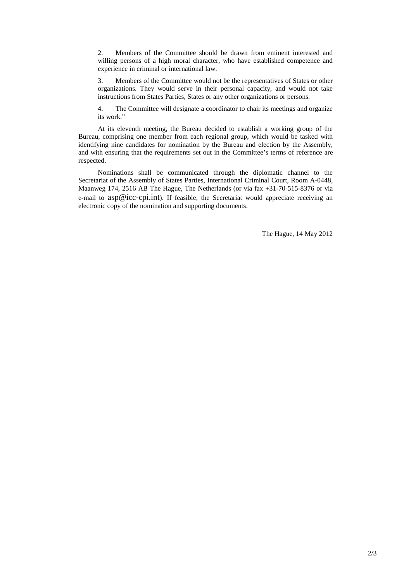2. Members of the Committee should be drawn from eminent interested and willing persons of a high moral character, who have established competence and experience in criminal or international law.

3. Members of the Committee would not be the representatives of States or other organizations. They would serve in their personal capacity, and would not take instructions from States Parties, States or any other organizations or persons.

4. The Committee will designate a coordinator to chair its meetings and organize its work."

At its eleventh meeting, the Bureau decided to establish a working group of the Bureau, comprising one member from each regional group, which would be tasked with identifying nine candidates for nomination by the Bureau and election by the Assembly, and with ensuring that the requirements set out in the Committee's terms of reference are respected.

Nominations shall be communicated through the diplomatic channel to the Secretariat of the Assembly of States Parties, International Criminal Court, Room A-0448, Maanweg 174, 2516 AB The Hague, The Netherlands (or via fax +31-70-515-8376 or via e-mail to asp@icc-cpi.int). If feasible, the Secretariat would appreciate receiving an electronic copy of the nomination and supporting documents.

The Hague, 14 May 2012